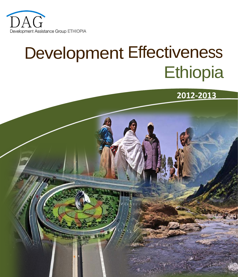

# Development Effectiveness **Ethiopia**



<span id="page-0-0"></span>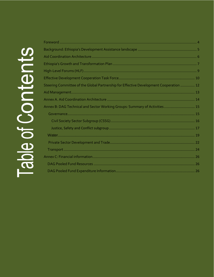| Steering Committee of the Global Partnership for Effective Development Cooperation  12 |     |
|----------------------------------------------------------------------------------------|-----|
|                                                                                        |     |
|                                                                                        |     |
| Annex B: DAG Technical and Sector Working Groups: Summary of Activities 15             |     |
|                                                                                        |     |
|                                                                                        |     |
|                                                                                        |     |
|                                                                                        |     |
|                                                                                        |     |
|                                                                                        |     |
|                                                                                        |     |
|                                                                                        |     |
|                                                                                        | -26 |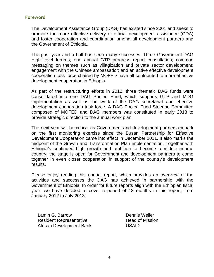## <span id="page-4-0"></span>**Foreword**

The Development Assistance Group (DAG) has existed since 2001 and seeks to promote the more effective delivery of official development assistance (ODA) and foster cooperation and coordination among all development partners and the Government of Ethiopia.

The past year and a half has seen many successes. Three Government-DAG High-Level forums; one annual GTP progress report consultation; common messaging on themes such as villagization and private sector development; engagement with the Chinese ambassador; and an active effective development cooperation task force chaired by MOFED have all contributed to more effective development cooperation in Ethiopia.

As part of the restructuring efforts in 2012, three thematic DAG funds were consolidated into one DAG Pooled Fund, which supports GTP and MDG implementation as well as the work of the DAG secretariat and effective development cooperation task force. A DAG Pooled Fund Steering Committee composed of MOFED and DAG members was constituted in early 2013 to provide strategic direction to the annual work plan.

The next year will be critical as Government and development partners embark on the first monitoring exercise since the Busan Partnership for Effective Development Cooperation came into effect in December 2011. It also marks the midpoint of the Growth and Transformation Plan implementation. Together with Ethiopia's continued high growth and ambition to become a middle-income country, the stage is open for Government and development partners to come together in even closer cooperation in support of the country's development results.

Please enjoy reading this annual report, which provides an overview of the activities and successes the DAG has achieved in partnership with the Government of Ethiopia. In order for future reports align with the Ethiopian fiscal year, we have decided to cover a period of 18 months in this report, from January 2012 to July 2013.

Lamin G. Barrow **Dennis Weller** Resident Representative **Head of Mission** African Development Bank USAID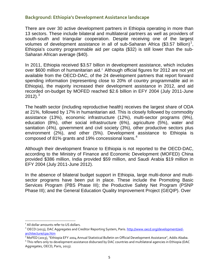# <span id="page-5-0"></span>**Background: Ethiopia's Development Assistance landscape**

There are over 30 active development partners in Ethiopia operating in more than 13 sectors. These include bilateral and multilateral partners as well as providers of south-south and triangular cooperation. Despite receiving one of the largest volumes of development assistance in all of sub-Saharan Africa (\$3.57 billion)<sup>[1](#page-0-0)</sup>, Ethiopia's country programmable aid per capita (\$32) is still lower than the sub-Saharan African average (\$40).

In 2011, Ethiopia received \$3.57 billion in development assistance, which includes over \$600 million of humanitarian aid.<sup>[2](#page-5-1)</sup> Although official figures for 2012 are not yet available from the OECD-DAC, of the 24 development partners that report forward spending information (representing close to 20% of country programmable aid in Ethiopia), the majority increased their development assistance in 2012, and aid recorded on-budget by MOFED reached \$2.6 billion in EFY 2004 (July 2011-June 2012). $^3$  $^3$ 

The health sector (including reproductive health) receives the largest share of ODA at 21%, followed by 17% in humanitarian aid. This is closely followed by commodity assistance (13%), economic infrastructure (12%), multi-sector programs (9%), education (8%), other social infrastructure (6%), agriculture (5%), water and sanitation (4%), government and civil society (3%), other productive sectors plus environment (2%), and other (5%). Development assistance to Ethiopia is composed of 81% grants and 19% concessional loans.<sup>[4](#page-5-3)</sup>

Although their development finance to Ethiopia is not reported to the OECD-DAC, according to the Ministry of Finance and Economic Development (MOFED) China provided \$386 million, India provided \$59 million, and Saudi Arabia \$19 million in EFY 2004 (July 2011-June 2012).

In the absence of bilateral budget support in Ethiopia, large multi-donor and multisector programs have been put in place. These include the Promoting Basic Services Program (PBS Phase III); the Productive Safety Net Program (PSNP Phase III); and the General Education Quality Improvement Project (GEQIP). Over

 $\overline{\phantom{a}}$ 

<sup>&</sup>lt;sup>1</sup> All dollar amounts refer to US dollars.

<span id="page-5-1"></span><sup>&</sup>lt;sup>2</sup> OECD (2013), DAC Aggregates and Creditor Reporting System, Paris[. http://www.oecd.org/development/aid](http://www.oecd.org/development/aid-architecture/cpa.htm)[architecture/cpa.htm](http://www.oecd.org/development/aid-architecture/cpa.htm)

<span id="page-5-4"></span><span id="page-5-2"></span><sup>&</sup>lt;sup>3</sup> MoFED (2013), "Ethiopia EFY 2004 Annual Statistical Bulletin on Official Development Assistance", Addis Ababa.

<span id="page-5-3"></span><sup>4</sup> This refers only to development assistance disbursed by DAC countries and multilateral agencies in Ethiopia (DAC Aggregates, OECD, Paris, 2013).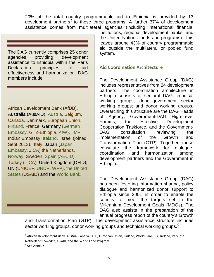20% of the total country programmable aid to Ethiopia is provided by 13 development partners<sup>[5](#page-5-4)</sup> to these three programs. A further 37% of development assistance comes from multilateral agencies (including international financial

The DAG currently comprises 25 donor agencies providing development assistance to Ethiopia within the Paris Declaration principles of aid effectiveness and harmonization. DAG members include:

African Development Bank (AfDB), Australia (AusAID), Austria, Belgium, Canada, Denmark, European Union, Finland, France, Germany (German Embassy, GTZ-Ethiopia, KfW), IMF, Indian Embassy, Ireland, Israel (joined Sept.2013), Italy, Japan (Japan Embassy, JICA) the Netherlands, Norway, Sweden, Spain (AECID), Turkey (TICA), United Kingdom (DFID), UN (UNICEF, UNDP, WFP), the United States (USAID) and the World Bank.

institutions, regional development banks, and the United Nations funds and programs). This leaves around 43% of country programmable aid outside the multilateral or pooled fund system.

# <span id="page-6-0"></span>**Aid Coordination Architecture**

The Development Assistance Group (DAG) includes representatives from 24 development partners. The coordination architecture in Ethiopia consists of sectoral DAG technical working groups; donor-government sector working groups; and donor working groups. Overarching this structure are the DAG Heads of Agency, Government-DAG High-Level Forums, the Effective Development Cooperation Taskforce, and the Government-DAG consultation reviewing the implementation of the Growth and Transformation Plan (GTP). Together, these constitute the framework for dialogue, coordination, and harmonization among development partners and the Government in Ethiopia.

The Development Assistance Group (DAG) has been fostering information sharing, policy dialogue and harmonized donor support to Ethiopia since 2001 in order to enable the country to meet the targets set in the Millennium Development Goals (MDGs). The DAG also assists in the preparation of the annual progress report of the country's Growth

and Transformation Plan (GTP). The development assistance structure includes sector working groups, donor working groups and technical working groups.  $^6$  $^6$ 

l

<span id="page-6-2"></span><sup>&</sup>lt;sup>5</sup> African Development Bank, Austria, Canada, DFID, European Union, Finland, World Bank-IDA, Ireland, Italy, the Netherlands, Sweden, USAID, and the World Food Program.

<span id="page-6-1"></span> $6$  See Annex 1.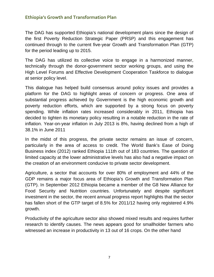# <span id="page-7-0"></span>**Ethiopia's Growth and Transformation Plan**

The DAG has supported Ethiopia's national development plans since the design of the first Poverty Reduction Strategic Paper (PRSP) and this engagement has continued through to the current five-year Growth and Transformation Plan (GTP) for the period leading up to 2015.

The DAG has utilized its collective voice to engage in a harmonized manner, technically through the donor-government sector working groups, and using the High Level Forums and Effective Development Cooperation Taskforce to dialogue at senior policy level.

This dialogue has helped build consensus around policy issues and provides a platform for the DAG to highlight areas of concern or progress. One area of substantial progress achieved by Government is the high economic growth and poverty reduction efforts, which are supported by a strong focus on poverty spending. While inflation rates increased considerably in 2011, Ethiopia has decided to tighten its monetary policy resulting in a notable reduction in the rate of inflation. Year-on-year inflation in July 2013 is 8%, having declined from a high of 38.1% in June 2011

In the midst of this progress, the private sector remains an issue of concern, particularly in the area of access to credit. The World Bank's Ease of Doing Business index (2012) ranked Ethiopia 111th out of 183 countries. The question of limited capacity at the lower administrative levels has also had a negative impact on the creation of an environment conducive to private sector development.

Agriculture, a sector that accounts for over 80% of employment and 44% of the GDP remains a major focus area of Ethiopia's Growth and Transformation Plan (GTP). In September 2012 Ethiopia became a member of the G8 New Alliance for Food Security and Nutrition countries. Unfortunately and despite significant investment in the sector, the recent annual progress report highlights that the sector has fallen short of the GTP target of 8.5% for 2011/12 having only registered 4.9% growth.

Productivity of the agriculture sector also showed mixed results and requires further research to identify causes. The news appears good for smallholder farmers who witnessed an increase in productivity in 13 out of 16 crops. On the other hand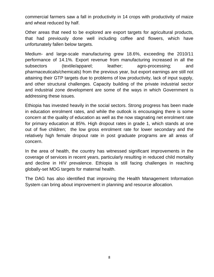commercial farmers saw a fall in productivity in 14 crops with productivity of maize and wheat reduced by half.

Other areas that need to be explored are export targets for agricultural products, that had previously done well including coffee and flowers, which have unfortunately fallen below targets.

Medium- and large-scale manufacturing grew 18.6%, exceeding the 2010/11 performance of 14.1%. Export revenue from manufacturing increased in all the subsectors (textile/apparel; leather; agro-processing; and pharmaceuticals/chemicals) from the previous year, but export earnings are still not attaining their GTP targets due to problems of low productivity, lack of input supply, and other structural challenges. Capacity building of the private industrial sector and industrial zone development are some of the ways in which Government is addressing these issues.

Ethiopia has invested heavily in the social sectors. Strong progress has been made in education enrolment rates, and while the outlook is encouraging there is some concern at the quality of education as well as the now stagnating net enrolment rate for primary education at 85%. High dropout rates in grade 1, which stands at one out of five children; the low gross enrolment rate for lower secondary and the relatively high female dropout rate in post graduate programs are all areas of concern.

In the area of health, the country has witnessed significant improvements in the coverage of services in recent years, particularly resulting in reduced child mortality and decline in HIV prevalence. Ethiopia is still facing challenges in reaching globally-set MDG targets for maternal health.

The DAG has also identified that improving the Health Management Information System can bring about improvement in planning and resource allocation.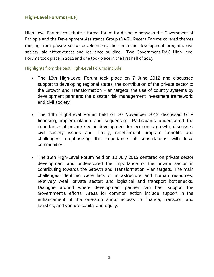# <span id="page-9-0"></span>**High-Level Forums (HLF)**

High-Level Forums constitute a formal forum for dialogue between the Government of Ethiopia and the Development Assistance Group (DAG). Recent Forums covered themes ranging from private sector development, the commune development program, civil society, aid effectiveness and resilience building. Two Government-DAG High-Level Forums took place in 2012 and one took place in the first half of 2013.

#### Highlights from the past High-Level Forums include:

- The 13th High-Level Forum took place on 7 June 2012 and discussed support to developing regional states; the contribution of the private sector to the Growth and Transformation Plan targets; the use of country systems by development partners; the disaster risk management investment framework; and civil society.
- The 14th High-Level Forum held on 20 November 2012 discussed GTP financing, implementation and sequencing. Participants underscored the importance of private sector development for economic growth, discussed civil society issues and, finally, resettlement program benefits and challenges, emphasizing the importance of consultations with local communities.
- The 15th High-Level Forum held on 10 July 2013 centered on private sector development and underscored the importance of the private sector in contributing towards the Growth and Transformation Plan targets. The main challenges identified were lack of infrastructure and human resources; relatively weak private sector; and logistical and transport bottlenecks. Dialogue around where development partner can best support the Government's efforts. Areas for common action include support in the enhancement of the one-stop shop; access to finance; transport and logistics; and venture capital and equity.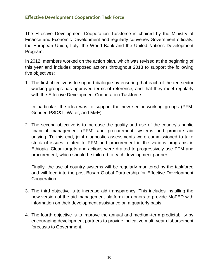# <span id="page-10-0"></span>**Effective Development Cooperation Task Force**

The Effective Development Cooperation Taskforce is chaired by the Ministry of Finance and Economic Development and regularly convenes Government officials, the European Union, Italy, the World Bank and the United Nations Development Program.

In 2012, members worked on the action plan, which was revised at the beginning of this year and includes proposed actions throughout 2013 to support the following five objectives:

1. The first objective is to support dialogue by ensuring that each of the ten sector working groups has approved terms of reference, and that they meet regularly with the Effective Development Cooperation Taskforce.

In particular, the idea was to support the new sector working groups (PFM, Gender, PSD&T, Water, and M&E).

2. The second objective is to increase the quality and use of the country's public financial management (PFM) and procurement systems and promote aid untying. To this end, joint diagnostic assessments were commissioned to take stock of issues related to PFM and procurement in the various programs in Ethiopia. Clear targets and actions were drafted to progressively use PFM and procurement, which should be tailored to each development partner.

Finally, the use of country systems will be regularly monitored by the taskforce and will feed into the post-Busan Global Partnership for Effective Development Cooperation.

- 3. The third objective is to increase aid transparency. This includes installing the new version of the aid management platform for donors to provide MoFED with information on their development assistance on a quarterly basis.
- 4. The fourth objective is to improve the annual and medium-term predictability by encouraging development partners to provide indicative multi-year disbursement forecasts to Government.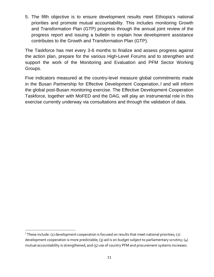5. The fifth objective is to ensure development results meet Ethiopia's national priorities and promote mutual accountability. This includes monitoring Growth and Transformation Plan (GTP) progress through the annual joint review of the progress report and issuing a bulletin to explain how development assistance contributes to the Growth and Transformation Plan (GTP).

The Taskforce has met every 3-6 months to finalize and assess progress against the action plan, prepare for the various High-Level Forums and to strengthen and support the work of the Monitoring and Evaluation and PFM Sector Working Groups.

Five indicators measured at the country-level measure global commitments made in the Busan Partnership for Effective Development Cooperation,[7](#page-6-2) and will inform the global post-Busan monitoring exercise. The Effective Development Cooperation Taskforce, together with MoFED and the DAG, will play an instrumental role in this exercise currently underway via consultations and through the validation of data.

 $\overline{\phantom{a}}$ 

<sup>&</sup>lt;sup>7</sup> These include: (1) development cooperation is focused on results that meet national priorities; (2) development cooperation is more predictable; (3) aid is on budget subject to parliamentary scrutiny; (4) mutual accountability is strengthened; and (5) use of country PFM and procurement systems increases.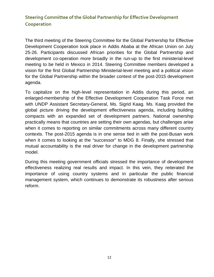# <span id="page-12-0"></span>**Steering Committee of the Global Partnership for Effective Development Cooperation**

The third meeting of the Steering Committee for the Global Partnership for Effective Development Cooperation took place in Addis Ababa at the African Union on July 25-26. Participants discussed African priorities for the Global Partnership and development co-operation more broadly in the run-up to the first ministerial-level meeting to be held in Mexico in 2014. Steering Committee members developed a vision for the first Global Partnership Ministerial-level meeting and a political vision for the Global Partnership within the broader context of the post-2015 development agenda.

To capitalize on the high-level representation in Addis during this period, an enlarged-membership of the Effective Development Cooperation Task Force met with UNDP Assistant Secretary-General, Ms. Sigrid Kaag. Ms. Kaag provided the global picture driving the development effectiveness agenda, including building compacts with an expanded set of development partners. National ownership practically means that countries are setting their own agendas, but challenges arise when it comes to reporting on similar commitments across many different country contexts. The post-2015 agenda is in one sense tied in with the post-Busan work when it comes to looking at the "successor" to MDG 8. Finally, she stressed that mutual accountability is the real driver for change in the development partnership model.

During this meeting government officials stressed the importance of development effectiveness realizing real results and impact. In this vein, they reiterated the importance of using country systems and in particular the public financial management system, which continues to demonstrate its robustness after serious reform.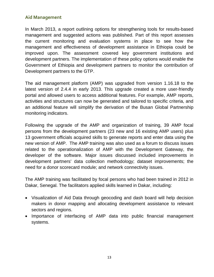# <span id="page-13-0"></span>**Aid Management**

In March 2013, a report outlining options for strengthening tools for results-based management and suggested actions was published. Part of this report assesses the current monitoring and evaluation systems in place to see how the management and effectiveness of development assistance in Ethiopia could be improved upon. The assessment covered key government institutions and development partners. The implementation of these policy options would enable the Government of Ethiopia and development partners to monitor the contribution of Development partners to the GTP.

The aid management platform (AMP) was upgraded from version 1.16.18 to the latest version of 2.4.4 in early 2013. This upgrade created a more user-friendly portal and allowed users to access additional features. For example, AMP reports, activities and structures can now be generated and tailored to specific criteria, and an additional feature will simplify the derivation of the Busan Global Partnership monitoring indicators.

Following the upgrade of the AMP and organization of training, 39 AMP focal persons from the development partners (23 new and 16 existing AMP users) plus 13 government officials acquired skills to generate reports and enter data using the new version of AMP. The AMP training was also used as a forum to discuss issues related to the operationalization of AMP with the Development Gateway, the developer of the software. Major issues discussed included improvements in development partners' data collection methodology; dataset improvements; the need for a donor scorecard module; and network connectivity issues.

The AMP training was facilitated by focal persons who had been trained in 2012 in Dakar, Senegal. The facilitators applied skills learned in Dakar, including:

- Visualization of Aid Data through geocoding and dash board will help decision makers in donor mapping and allocating development assistance to relevant sectors and regions.
- Importance of interfacing of AMP data into public financial management systems.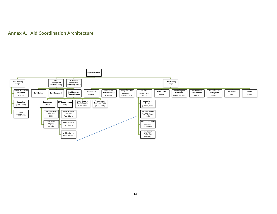## **Annex A. Aid Coordination Architecture**

<span id="page-14-0"></span>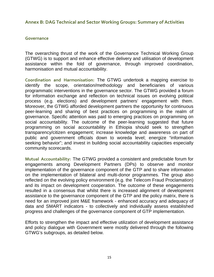## <span id="page-15-0"></span>**Annex B: DAG Technical and Sector Working Groups: Summary of Activities**

#### <span id="page-15-1"></span>**Governance**

The overarching thrust of the work of the Governance Technical Working Group (GTWG) is to support and enhance effective delivery and utilisation of development assistance within the fold of governance, through improved coordination, harmonisation and mutual accountability.

**Coordination and Harmonisation:** The GTWG undertook a mapping exercise to identify the scope, orientation/methodology and beneficiaries of various programmatic interventions in the governance sector. The GTWG provided a forum for information exchange and reflection on technical issues on evolving political process (e.g. elections) and development partners' engagement with them. Moreover, the GTWG afforded development partners the opportunity for continuous peer-learning and sharing of best practices on programming in the realm of governance. Specific attention was paid to emerging practices on programming on social accountability. The outcome of the peer-learning suggested that future programming on social accountability in Ethiopia should seek to strengthen transparency/citizen engagement; increase knowledge and awareness on part of public and government officials down to woreda level; energize "information seeking behavior"; and invest in building social accountability capacities especially community scorecards.

**Mutual Accountability:** The GTWG provided a consistent and predictable forum for engagements among Development Partners (DPs) to observe and monitor implementation of the governance component of the GTP and to share information on the implementation of bilateral and multi-donor programmes. The group also reflected on the evolving policy environment (e.g. the Telecom Fraud Proclamation) and its impact on development cooperation. The outcome of these engagements resulted in a consensus that whilst there is increased alignment of development assistance to the governance component of the GTP and the policy matrix, there is need for an improved joint M&E framework - enhanced accuracy and adequacy of data and SMART indicators - to collectively and individually assess established progress and challenges of the governance component of GTP implementation.

Efforts to strengthen the impact and effective utilization of development assistance and policy dialogue with Government were mostly delivered through the following GTWG's subgroups, as detailed below.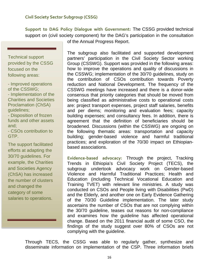<span id="page-16-0"></span>**Support to DAG Policy Dialogue with Government:** The CSSG provided technical support on (civil society component) for the DAG's participation in the consultation

Technical support provided by the CSSG focused on the following areas:

- Improved operations of the CSSWG; - Implementation of the Charities and Societies Proclamation (ChSA) guidelines;

- Disposition of frozen funds and other assets and;

- CSOs contribution to GTP.

The support facilitated efforts at adapting the 30/70 guidelines. For example, the Charities and Societies Agency (ChSA) has increased the number of clusters and changed the category of some salaries to operations.

of the Annual Progress Report.

The subgroup also facilitated and supported development partners' participation in the Civil Society Sector working Group (CSSWG). Support was provided in the following areas: how to improve the operations and quality of discussions in the CSSWG; implementation of the 30/70 guidelines, study on the contribution of CSOs contribution towards Poverty reduction and National Development. The frequency of the CSSWG meetings have increased and there is a donor-wide consensus that priority categories that should be moved from being classified as administrative costs to operational costs are: project transport expenses, project staff salaries, benefits and per diems; monitoring and evaluation fees; capacity building expenses; and consultancy fees. In addition, there is agreement that the definition of beneficiaries should be broadened. Discussions (within the CSSWG) are ongoing on the following thematic areas: transportation and capacity building; gender-based violence and harmful traditional practices; and exploration of the 70/30 impact on Ethiopianbased associations.

**Evidence-based advocacy:** Through the project, Tracking Trends in Ethiopia's Civil Society Project (TECS), the subgroup undertook advocacy work on Gender-based Violence and Harmful Traditional Practices; Health and Education (including Technical Vocational Education and Training TVET) with relevant line ministries. A study was conducted on CSOs and People living with Disabilities (PwD) and the Elderly, and another one on Early Evidence Gathering of the 70/30 Guideline implementation. The later study ascertains the number of CSOs that are not complying within the 30/70 guideline, teases out reasons for non-compliance and examines how the guideline has affected operational change. Based on the 2011 financial audit of some CSO, the findings of the study suggest over 80% of CSOs are not complying with the guideline.

Through TECS, the CSSG was able to regularly gather, synthesize and disseminate information on implementation of the CSP. Three information briefs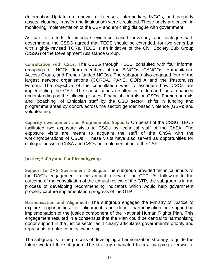(Information Update on renewal of licenses, intermediary INGOs, and property assets, clearing, transfer and liquidation) were circulated. These briefs are critical in monitoring implementation of the CSP and enriching dialogue with government.

As part of efforts to improve evidence based advocacy and dialogue with government, the CSSG agreed that TECS should be extended, for two years but with slightly revised TORs. TECS is an initiative of the Civil Society Sub Group (CSSG) of the Development Assistance Group.

**Consultation with CSOs:** The CSSG through TECS, consulted with four informal groupings of INGOs (from members of the BINGOs, CANGOs, Humanitarian Access Group, and French funded NGOs). The subgroup also engaged four of the largest network organisations (CCRDA, PANE, CORHA and the Pastoralists Forum). The objective of the consultation was to ascertain how CSOs are implementing the CSP. The consultations resulted in a demand for a nuanced understanding on the following issues: Financial controls on CSOs; Foreign permits and "poaching" of Ethiopian staff by the CSO sector; shifts in funding and programme areas by donors across the sector; gender based violence (GBV); and volunteering.

**Capacity development and Programmatic Support:** On behalf of the CSSG, TECS facilitated two exposure visits to CSOs by technical staff of the ChSA. The exposure visits are meant to acquaint the staff of the ChSA with the working/operations of CSOs. These visits have also served as opportunities for dialogue between ChSA and CSOs on implementation of the CSP.

## <span id="page-17-0"></span>**Justice, Safety and Conflict subgroup**

**Support to DAG Government Dialogue:** The subgroup provided technical inputs to the DAG's engagement in the annual review of the GTP. As follow-up to the outcome of the consultation of the annual review of the GTP, the subgroup is in the process of developing recommending indicators which would help government properly capture implementation progress of the GTP.

**Harmonisation and Alignment:** The subgroup engaged the Ministry of Justice to explore opportunities for alignment and donor harmonisation in supporting implementation of the justice component of the National Human Rights Plan. This engagement resulted in a consensus that the Plan could be central to harmonising donor support in the justice sector as it clearly articulates government's priority and represents greater country ownership.

The subgroup is in the process of developing a harmonization strategy to guide the future work of the subgroup. The strategy emanated from a mapping exercise to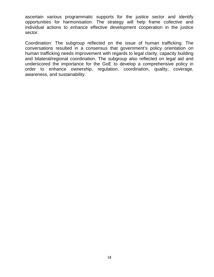ascertain various programmatic supports for the justice sector and identify opportunities for harmonisation. The strategy will help frame collective and individual actions to enhance effective development cooperation in the justice sector.

Coordination: The subgroup reflected on the issue of human trafficking. The conversations resulted in a consensus that government's policy orientation on human trafficking needs improvement with regards to legal clarity, capacity building and bilateral/regional coordination. The subgroup also reflected on legal aid and underscored the importance for the GoE to develop a comprehensive policy in order to enhance ownership, regulation, coordination, quality, coverage, awareness, and sustainability.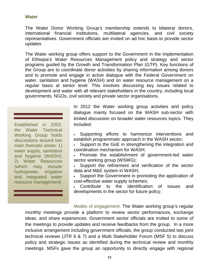## <span id="page-19-0"></span>**Water**

The Water Donor Working Group's membership extends to bilateral donors, international financial institutions, multilateral agencies, and civil society representatives. Government officials are invited on ad hoc basis to provide sector updates

The Water working group offers support to the Government in the implementation of Ethiopia's Water Resources Management policy and strategy and sector programs guided by the Growth and Transformation Plan (GTP). Key functions of the Group are to coordinate donor activities by sharing information among donors and to promote and engage in active dialogue with the Federal Government on water, sanitation and hygiene (WASH) and on water resource management on a regular basis at senior level. This involves discussing key issues related to development and water with all relevant stakeholders in the country, including local governments, NGOs, civil society and private sector organisations.

Established in 2002, the Water Technical Working Group holds discussions around two main thematic areas: 1) water supply, sanitation and hygiene (WASH); 2) Water Resources (which may include hydropower, irrigation and integrated water resource management)

In 2012 the Water working group activities and policy dialogue mainly focused on the WASH sub-sector with limited discussion on broader water resources topics. They included:

Supporting efforts to harmonize interventions and establish programmatic approach in the WASH sector;

Support to the GoE in strengthening the integration and coordination mechanism for WASH;

Promote the establishment of government-led water sector working group (WSWG);

Support the refinement and verification of the sector data and M&E system in WASH;

• Support the Government in promoting the application of cost-effective water supply schemes;

• Contribute to the identification of issues and developments in the sector for future policy.

Modes of engagement: The Water working group's regular monthly meetings provide a platform to review sector performances, exchange ideas, and share experiences. Government sector officials are invited to some of the meetings to provide updates and receive feedbacks from the group. In a more inclusive arrangement including government officials, the group conducted two joint technical reviews (JTR 6 & 7) and a Multi Stakeholder Forum (MSF 5) to discuss policy and strategic issues as identified during the technical review and monthly meetings. MSFs gave the group an opportunity to directly engage with regional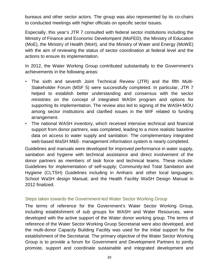bureaus and other sector actors. The group was also represented by its co-chairs to conducted meetings with higher officials on specific sector issues.

Especially, this year's JTR 7 consulted with federal sector institutions including the Ministry of Finance and Economic Develompent (MoFED), the Ministry of Education (MoE), the Ministry of Health (MoH), and the Ministry of Water and Energy (MoWE) with the aim of reviewing the status of sector coordination at federal level and the actions to ensure its implementation.

In 2012, the Water Working Group contributed substantially to the Government's achievements in the following areas:

- The sixth and seventh Joint Technical Review (JTR) and the fifth Multi-Stakeholder Forum (MSF 5) were successfully completed. In particular, JTR 7 helped to establish better understanding and consensus with the sector ministries on the concept of integrated WASH program and options for supporting its implementation. The review also led to signing of the WASH-MOU among sector institutions and clarified issues in the WIF related to funding arrangement.
- The national WASH inventory, which received intensive technical and financial support from donor partners, was completed, leading to a more realistic baseline data on access to water supply and sanitation. The complementary integrated web-based WaSH M&E- management information system is nearly completed.

Guidelines and manuals were developed for improved performance in water supply, sanitation and hygiene with technical assistance and direct involvement of the donor partners as members of task force and technical teams. These include: Guidelines for implementation of self-supply; Community-led Total Sanitation and Hygiene (CLTSH) Guidelines including in Amharic and other local languages; School WaSH design Manual; and the Health Facility WaSH Design Manual in 2012 finalized.

## Steps taken towards the Government-led Water Sector Working Group

The terms of reference for the Government's Water Sector Working Group, including establishment of sub groups for WASH and Water Resources, were developed with the active support of the Water donor working group. The terms of reference of the Water Sector Working Gruop Secretariat were also developed, and the multi-donor Capacity Building Facility was used for the initial support for the establishment of the Secretariat. The primary objective of the Water Sector Working Group is to provide a forum for Government and Development Partners to jointly promote, support and coordinate sustainable and integrated development and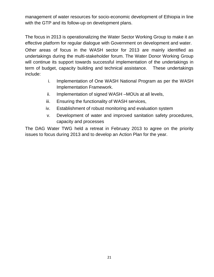management of water resources for socio-economic development of Ethiopia in line with the GTP and its follow-up on development plans.

The focus in 2013 is operationalizing the Water Sector Working Group to make it an effective platform for regular dialogue with Government on development and water. Other areas of focus in the WASH sector for 2013 are mainly identified as undertakings during the multi-stakeholder forum. The Water Donor Working Group will continue its support towards successful implementation of the undertakings in term of budget, capacity building and technical assistance. These undertakings include:

- i. Implementation of One WASH National Program as per the WASH Implementation Framework.
- ii. Implementation of signed WASH –MOUs at all levels,
- iii. Ensuring the functionality of WASH services,
- iv. Establishment of robust monitoring and evaluation system
- v. Development of water and improved sanitation safety procedures, capacity and processes

The DAG Water TWG held a retreat in February 2013 to agree on the priority issues to focus during 2013 and to develop an Action Plan for the year.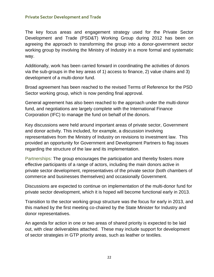## <span id="page-22-0"></span>**Private Sector Development and Trade**

The key focus areas and engagement strategy used for the Private Sector Development and Trade (PSD&T) Working Group during 2012 has been on agreeing the approach to transforming the group into a donor-government sector working group by involving the Ministry of Industry in a more formal and systematic way.

Additionally, work has been carried forward in coordinating the activities of donors via the sub-groups in the key areas of 1) access to finance, 2) value chains and 3) development of a multi-donor fund.

Broad agreement has been reached to the revised Terms of Reference for the PSD Sector working group, which is now pending final approval.

General agreement has also been reached to the approach under the multi-donor fund, and negotiations are largely complete with the International Finance Corporation (IFC) to manage the fund on behalf of the donors.

Key discussions were held around important areas of private sector, Government and donor activity. This included, for example, a discussion involving representatives from the Ministry of Industry on revisions to investment law. This provided an opportunity for Government and Development Partners to flag issues regarding the structure of the law and its implementation.

Partnerships: The group encourages the participation and thereby fosters more effective participants of a range of actors, including the main donors active in private sector development, representatives of the private sector (both chambers of commerce and businesses themselves) and occasionally Government.

Discussions are expected to continue on implementation of the multi-donor fund for private sector development, which it is hoped will become functional early in 2013.

Transition to the sector working group structure was the focus for early in 2013, and this marked by the first meeting co-chaired by the State Minister for Industry and donor representatives.

An agenda for action in one or two areas of shared priority is expected to be laid out, with clear deliverables attached. These may include support for development of sector strategies in GTP priority areas, such as leather or textiles.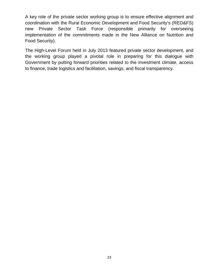A key role of the private sector working group is to ensure effective alignment and coordination with the Rural Economic Development and Food Security's (RED&FS) new Private Sector Task Force (responsible primarily for overseeing implementation of the commitments made in the New Alliance on Nutrition and Food Security).

The High-Level Forum held in July 2013 featured private sector development, and the working group played a pivotal role in preparing for this dialogue with Government by putting forward priorities related to the investment climate, access to finance, trade logistics and facilitation, savings, and fiscal transparency.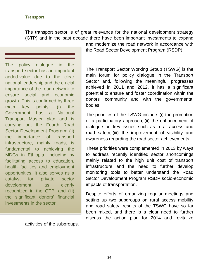## <span id="page-24-0"></span>**Transport**

The transport sector is of great relevance for the national development strategy (GTP) and in the past decade there have been important investments to expand

The policy dialogue in the transport sector has an important added-value due to the clear national leadership and the crucial importance of the road network to ensure social and economic growth. This is confirmed by three main key points: (i) the Government has a National Transport Master plan and is carrying out the Fourth Road Sector Development Program; (ii) the importance of transport infrastructure, mainly roads, is fundamental to achieving the MDGs in Ethiopia, including by facilitating access to education, health facilities and employment opportunities. It also serves as a catalyst for private sector development, as clearly recognized in the GTP; and (iii) the significant donors' financial investments in the sector

and modernize the road network in accordance with the Road Sector Development Program (RSDP).

The Transport Sector Working Group (TSWG) is the main forum for policy dialogue in the Transport Sector and, following the meaningful progresses achieved in 2011 and 2012, it has a significant potential to ensure and foster coordination within the donors' community and with the governmental bodies.

The priorities of the TSWG include: (i) the promotion of a participatory approach; (ii) the enhancement of dialogue on key issues such as rural access and road safety; (iii) the improvement of visibility and awareness regarding the road sector achievements.

These priorities were complemented in 2013 by ways to address recently identified sector shortcomings mainly related to the high unit cost of transport infrastructure and the need to further develop monitoring tools to better understand the Road Sector Development Program RSDP socio-economic impacts of transportation.

Despite efforts of organizing regular meetings and setting up two subgroups on rural access mobility and road safety, results of the TSWG have so far been mixed, and there is a clear need to further discuss the action plan for 2014 and revitalize

activities of the subgroups.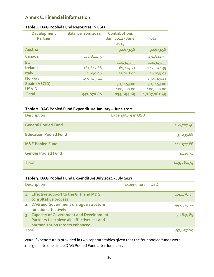# <span id="page-25-0"></span>**Annex C: Financial information**

| <b>Development</b><br><b>Partner</b> | <b>Balance from 2011</b> | <b>Contributions</b><br>Jan. 2012 - June | <b>Total</b> |
|--------------------------------------|--------------------------|------------------------------------------|--------------|
|                                      |                          | 2013                                     |              |
| Austria                              |                          | 90,673.58                                | 90,673.58    |
| Canada                               | 174,812.75               |                                          | 174,812.75   |
| <b>EU</b>                            |                          | 124,345.55                               | 124,345.55   |
| <b>Ireland</b>                       | 181,817.88               | 61,274.51                                | 243,092.39   |
| <b>Italy</b>                         | 4,690.96                 | 51,948.05                                | 56,639.01    |
| <b>Norway</b>                        | 190,749.21               |                                          | 190,749.21   |
| <b>Spain (AECID)</b>                 |                          | 307,453.00                               | 307,453.00   |
| <b>USAID</b>                         |                          | 100,000.00                               | 100,000.00   |
| <b>Total</b>                         | 552,070.80               | 735,694.69                               | 1,287,765.49 |

#### <span id="page-25-1"></span>**Table 1. DAG Pooled Fund Resources in USD**

#### <span id="page-25-2"></span>**Table 2. DAG Pooled Fund Expenditure January – June 2012**

| <b>Description</b>           | <b>Expenditure in USD</b> |
|------------------------------|---------------------------|
| <b>General Pooled Fund</b>   | 266,787.46                |
| <b>Education Pooled Fund</b> | 37,035.68                 |
| <b>M&amp;E Pooled Fund</b>   | 112,527.86                |
| <b>Gender Pooled Fund</b>    | 3,410.74                  |
| Total                        | 419,761.74                |

## **Table 3. DAG Pooled Fund Expenditure July 2012 - July 2013**

| Description                                                                                                              | <b>Expenditure in USD</b> |
|--------------------------------------------------------------------------------------------------------------------------|---------------------------|
| 1. Effective support to the GTP and MDG<br>consultative process                                                          | 164,476.23                |
| 2. DAG and Government dialogue structure<br>function effectively                                                         | 442, 345.17               |
| 3. Capacity of Government and Development<br>Partners to achieve aid effectiveness and<br>harmonization targets enhanced | 90,835.89                 |
| Total                                                                                                                    | 697,657.29                |

*Note:* Expenditure is provided in two separate tables given that the four pooled funds were merged into one single DAG Pooled Fund after June 2012.